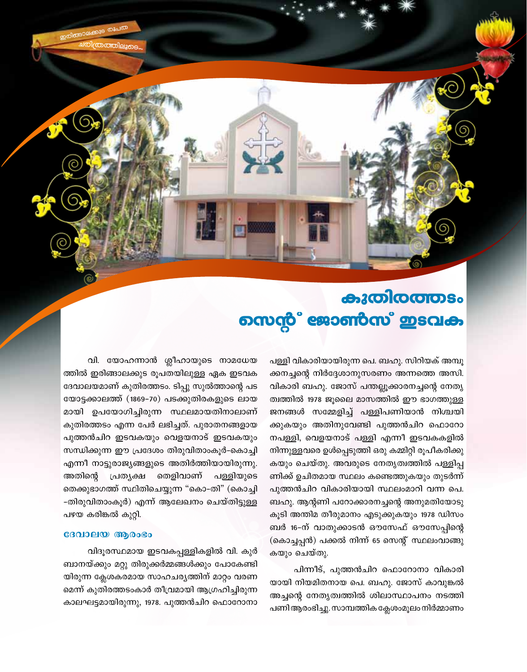കുതിരത്തടം നെന്റ് ജോൺസ് ഇടവക

> പള്ളി വികാരിയായിരുന്ന പെ. ബഹു. സിറിയക് അമ്പൂ ക്കനച്ചന്റെ നിർദ്ദേശാനുസരണം അന്നത്തെ അസി. വികാരി ബഹു. ജോസ് പന്തല്ലൂക്കാരനച്ചന്റെ നേതൃ ത്വത്തിൽ 1978 ജൂലൈ മാസത്തിൽ ഈ ഭാഗത്തുള്ള ജനങ്ങൾ സമ്മേളിച്ച് പള്ളിപണിയാൻ നിശ്ചയി ക്കുകയും അതിനുവേണ്ടി പുത്തൻചിറ ഫൊറോ നപള്ളി, വെളയനാട് പള്ളി എന്നീ ഇടവകകളിൽ നിന്നുള്ളവരെ ഉൾപ്പെടുത്തി ഒരു കമ്മിറ്റി രൂപീകരിക്കു കയും ചെയ്തു. അവരുടെ നേതൃത്വത്തിൽ പള്ളിപ്പ ണിക്ക് ഉചിതമായ സ്ഥലം കണ്ടെത്തുകയും തുടർന്ന് പുത്തൻചിറ വികാരിയായി സ്ഥലംമാറി വന്ന പെ. ബഹു. ആന്റണി പറോക്കാരനച്ചന്റെ അനുമതിയോടു കൂടി അന്തിമ തീരുമാനം എടുക്കുകയും 1978 ഡിസം ബർ 16-ന് വാതുക്കാടൻ ഔസേഫ് ഔസേപ്പിന്റെ (കൊച്ചപ്പൻ) പക്കൽ നിന്ന് 65 സെന്റ് സ്ഥലംവാങ്ങു കയും ചെയ്തു.

> പിന്നീട്, പുത്തൻചിറ ഫൊറോനാ വികാരി യായി നിയമിതനായ പെ. ബഹു. ജോസ് കാവുങ്കൽ അച്ചന്റെ നേതൃത്വത്തിൽ ശിലാസ്ഥാപനം നടത്തി പണി ആരംഭിച്ചു. സാമ്പത്തിക ക്ലേശംമൂലം നിർമ്മാണം

വി. യോഹന്നാൻ ശ്ലീഹായുടെ നാമധേയ ത്തിൽ ഇരിങ്ങാലക്കുട രൂപതയിലുള്ള ഏക ഇടവക ദേവാലയമാണ് കുതിരത്തടം. ടിപ്പു സുൽത്താന്റെ പട യോട്ടക്കാലത്ത് (1869-70) പടക്കുതിരകളുടെ ലായ മായി ഉപയോഗിച്ചിരുന്ന സ്ഥലമായതിനാലാണ് കുതിരത്തടം എന്ന പേർ ലഭിച്ചത്. പുരാതനങ്ങളായ പുത്തൻചിറ ഇടവകയും വെളയനാട് ഇടവകയും സന്ധിക്കുന്ന ഈ പ്രദേശം തിരുവിതാംകൂർ-കൊച്ചി എന്നീ നാട്ടുരാജ്യങ്ങളുടെ അതിർത്തിയായിരുന്നു. പള്ളിയുടെ അതിന്റെ പ്രത്യക്ഷ തെളിവാണ് തെക്കുഭാഗത്ത് സ്ഥിതിചെയ്യുന്ന "കൊ-തി" (കൊച്ചി -തിരുവിതാംകൂർ) എന്ന് ആലേഖനം ചെയ്തിട്ടുള്ള പഴയ കരിങ്കൽ കുറ്റി.

#### ദേവാലയ ആരംഭം

വിദൂരസ്ഥമായ ഇടവകപ്പള്ളികളിൽ വി. കുർ ബാനയ്ക്കും മറ്റു തിരുക്കർമ്മങ്ങൾക്കും പോകേണ്ടി യിരുന്ന ക്ലേശകരമായ സാഹചര്യത്തിന് മാറ്റം വരണ മെന്ന് കുതിരത്തടംകാർ തീവ്രമായി ആഗ്രഹിച്ചിരുന്ന കാലഘട്ടമായിരുന്നു, 1978. പുത്തൻചിറ ഫൊറോനാ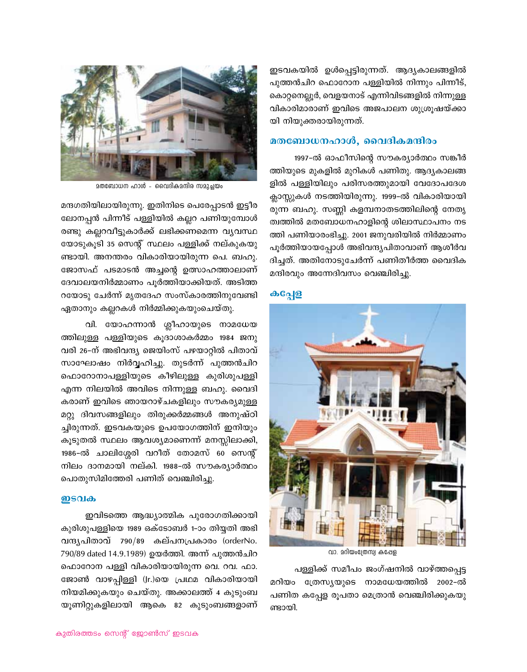

മതബോധന ഹാൾ - വൈദികമന്ദിര സമുച്ചയം

മന്ദഗതിയിലായിരുന്നു. ഇതിനിടെ പെരേപ്പാടൻ ഇട്ടീര ലോനപ്പൻ പിന്നീട് പള്ളിയിൽ കല്ലറ പണിയുമ്പോൾ രണ്ടു കല്ലറവീട്ടുകാർക്ക് ലഭിക്കണമെന്ന വൃവസ്ഥ യോടുകൂടി 35 സെന്റ് സ്ഥലം പള്ളിക്ക് നല്കുകയു ണ്ടായി. അനന്തരം വികാരിയായിരുന്ന പെ. ബഹു. ജോസഫ് പടമാടൻ അച്ചന്റെ ഉത്സാഹത്താലാണ് ദേവാലയനിർമ്മാണം പൂർത്തിയാക്കിയത്. അടിത്ത റയോടു ചേർന്ന് മൃതദേഹ സംസ്കാരത്തിനുവേണ്ടി ഏതാനും കല്ലറകൾ നിർമ്മിക്കുകയുംചെയ്തു.

വി. യോഹന്നാൻ ശ്ലീഹായുടെ നാമധേയ ത്തിലുള്ള പള്ളിയുടെ കൂദാശാകർമ്മം 1984 ജനു വരി 26-ന് അഭിവന്ദ്യ ജെയിംസ് പഴയാറ്റിൽ പിതാവ് സാഘോഷം നിർവ്വഹിച്ചു. തുടർന്ന് പുത്തൻചിറ ഫൊറോനാപള്ളിയുടെ കീഴിലുള്ള കുരിശുപള്ളി എന്ന നിലയിൽ അവിടെ നിന്നുള്ള ബഹു. വൈദി കരാണ് ഇവിടെ ഞായറാഴ്ചകളിലും സൗകര്യമുള്ള മറ്റു ദിവസങ്ങളിലും തിരുക്കർമ്മങ്ങൾ അനുഷ്ഠി ച്ചിരുന്നത്. ഇടവകയുടെ ഉപയോഗത്തിന് ഇനിയും കൂടുതൽ സ്ഥലം ആവശ്യമാണെന്ന് മനസ്സിലാക്കി, 1986-ൽ ചാലിശ്ശേരി വറീത് തോമസ് 60 സെന്റ് നിലം ദാനമായി നല്കി. 1988-ൽ സൗകര്യാർത്ഥം പൊതുസിമിത്തേരി പണിത് വെഞ്ചിരിച്ചു.

#### <u>ഇടവക</u>

ഇവിടത്തെ ആദ്ധ്യാത്മിക പുരോഗതിക്കായി കുരിശുപള്ളിയെ 1989 ഒക്ടോബർ 1–ാം തിയ്യതി അഭി വന്ദ്യപിതാവ് 790/89 കല്പനപ്രകാരം (orderNo. 790/89 dated 14.9.1989) ഉയർത്തി. അന്ന് പുത്തൻചിറ ഫൊറോന പള്ളി വികാരിയായിരുന്ന വെ. റവ. ഫാ. ജോൺ വാഴപ്പിള്ളി (Jr.)യെ പ്രഥമ വികാരിയായി നിയമിക്കുകയും ചെയ്തു. അക്കാലത്ത് 4 കുടുംബ യൂണിറ്റുകളിലായി ആകെ 82 കുടുംബങ്ങളാണ്

ഇടവകയിൽ ഉൾപ്പെട്ടിരുന്നത്. ആദ്യകാലങ്ങളിൽ പുത്തൻചിറ ഫൊറോന പള്ളിയിൽ നിന്നും പിന്നീട്, കൊറ്റനെല്ലൂർ, വെളയനാട് എന്നിവിടങ്ങളിൽ നിന്നുള്ള വികാരിമാരാണ് ഇവിടെ അജപാലന ശുശ്രൂഷയ്ക്കാ യി നിയുക്തരായിരുന്നത്.

## മതബോധനഹാൾ, വൈദികമന്ദിരം

1997-ൽ ഓഫീസിന്റെ സൗകര്യാർത്ഥം സങ്കീർ ത്തിയുടെ മുകളിൽ മുറികൾ പണിതു. ആദ്യകാലങ്ങ ളിൽ പള്ളിയിലും പരിസരത്തുമായി വേദോപദേശ ക്ലാസ്സുകൾ നടത്തിയിരുന്നു. 1999-ൽ വികാരിയായി രുന്ന ബഹു. സണ്ണി കളമ്പനാതടത്തിലിന്റെ നേതൃ ത്വത്തിൽ മതബോധനഹാളിന്റെ ശിലാസ്ഥാപനം നട ത്തി പണിയാരംഭിച്ചു. 2001 ജനുവരിയിൽ നിർമ്മാണം പൂർത്തിയായപ്പോൾ അഭിവന്ദ്യപിതാവാണ് ആശീർവ ദിച്ചത്. അതിനോടുചേർന്ന് പണിതീർത്ത വൈദിക മന്ദിരവും അന്നേദിവസം വെഞ്ചിരിച്ചു.

## கவுஜ



വാ. മറിയംത്രേസ്വ കപ്പേള

പള്ളിക്ക് സമീപം ജംഗ്ഷനിൽ വാഴ്ത്തപ്പെട്ട ത്രേസ്യയുടെ നാമധേയത്തിൽ 2002–ൽ മറിയം പണിത കപ്പേള രൂപതാ മെത്രാൻ വെഞ്ചിരിക്കുകയു ണ്ടായി.